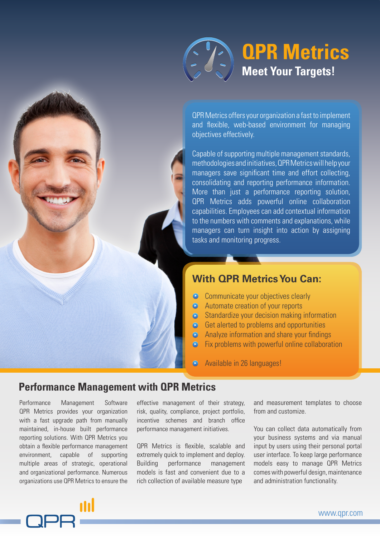# **Meet Your Targets! QPR Metrics**

QPR Metrics offers your organization a fast to implement and flexible, web-based environment for managing objectives effectively.

Capable of supporting multiple management standards, methodologies and initiatives, QPR Metrics will help your managers save significant time and effort collecting, consolidating and reporting performance information. More than just a performance reporting solution, QPR Metrics adds powerful online collaboration capabilities. Employees can add contextual information to the numbers with comments and explanations, while managers can turn insight into action by assigning tasks and monitoring progress.

## **With QPR Metrics You Can:**

- Communicate your objectives clearly
- **EXECUTE:** Automate creation of your reports p p
- Standardize your decision making information
- **B** Get alerted to problems and opportunities
- Analyze information and share your findings p
- Fix problems with powerful online collaboration p
- $\bigodot$ Available in 26 languages!

#### **Performance Management with QPR Metrics**

Performance Management Software QPR Metrics provides your organization with a fast upgrade path from manually maintained, in-house built performance reporting solutions. With QPR Metrics you obtain a flexible performance management environment, capable of supporting multiple areas of strategic, operational and organizational performance. Numerous organizations use QPR Metrics to ensure the effective management of their strategy, risk, quality, compliance, project portfolio, incentive schemes and branch office performance management initiatives.

QPR Metrics is flexible, scalable and extremely quick to implement and deploy. Building performance management models is fast and convenient due to a rich collection of available measure type

and measurement templates to choose from and customize.

You can collect data automatically from your business systems and via manual input by users using their personal portal user interface. To keep large performance models easy to manage QPR Metrics comes with powerful design, maintenance and administration functionality.